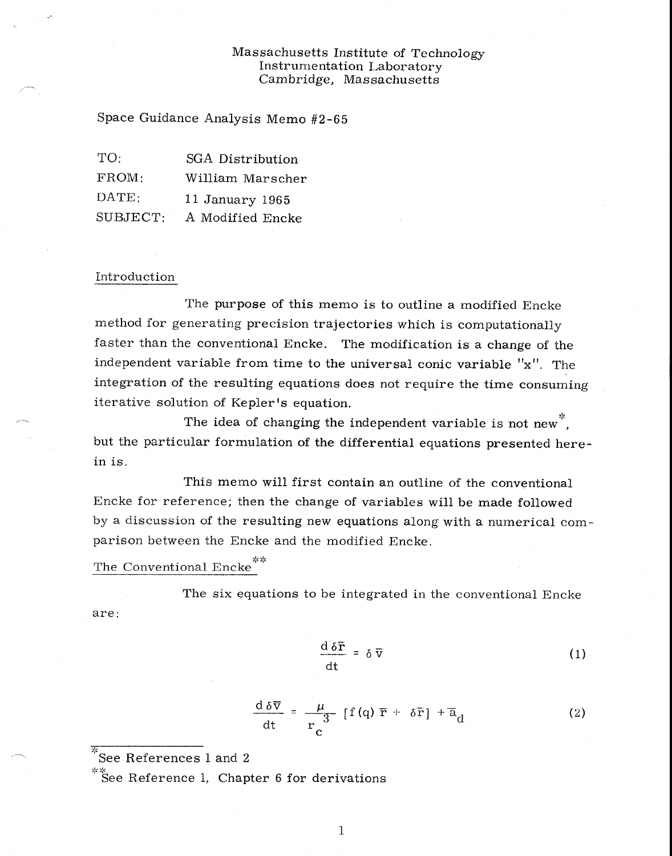# Massachusetts Institute of Technology Instrumentation Laboratory Cambridge, Massachusetts

Space Guidance Analysis Memo #2-65

| TO:            | SGA Distribution |  |  |  |
|----------------|------------------|--|--|--|
| FROM:          | William Marscher |  |  |  |
| $\text{DATE:}$ | 11 January 1965  |  |  |  |
| SUBJECT:       | A Modified Encke |  |  |  |

#### Introduction

The purpose of this memo is to outline a modified Encke method for generating precision trajectories which is computationally faster than the conventional Encke. The modification is a change of the independent variable from time to the universal conic variable "x". The integration of the resulting equations does not require the time consuming iterative solution of Kepler's equation.

The idea of changing the independent variable is not new. but the particular formulation of the differential equations presented herein is.

This memo will first contain an outline of the conventional Encke for reference; then the change of variables will be made followed by a discussion of the resulting new equations along with a numerical comparison between the Encke and the modified Encke.

# The Conventional Encke<sup>\*\*</sup>

The six equations to be integrated in the conventional Encke are:

$$
\frac{\mathrm{d}\,\delta\bar{\mathbf{r}}}{\mathrm{d}t} = \delta\,\bar{\mathbf{v}}\tag{1}
$$

$$
\frac{d \delta \overline{v}}{dt} = \frac{\mu}{r_c} [f(q) \overline{r} + \delta \overline{r}] + \overline{a}_d \qquad (2)
$$

 $\sqrt[3]{\text{See References 1 and 2}}$ 

 $*$  See Reference 1, Chapter 6 for derivations

1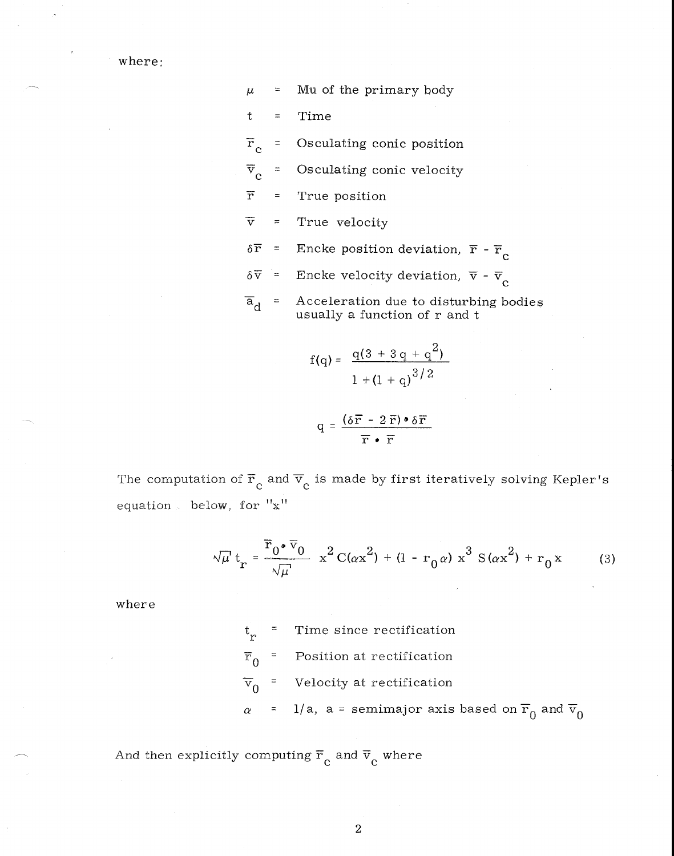where:

$$
\mu = \text{Mu of the primary body}
$$

 $t = Time$ 

 $\overline{\mathrm{r}}_{\mathrm{c}}$ Osculating conic position  $=$ 

 $\overline{v}_c$ Osculating conic velocity  $\equiv$ 

 $\overline{\mathbf{r}}$  $\equiv$ True position

 $\overline{\mathrm{v}}$ True velocity  $\equiv$ 

- $\delta \overline{r}$  = Encke position deviation,  $\overline{r}$   $\overline{r}_c$
- $\delta \overline{v}$  = Encke velocity deviation,  $\overline{v}$   $\overline{v}_c$
- $\overline{a}_{d}$  = Acceleration due to disturbing bodies usually a function of r and t

$$
f(q) = \frac{q(3 + 3q + q^{2})}{1 + (1 + q)^{3/2}}
$$

$$
q = \frac{(\delta \overline{r} - 2\overline{r}) \cdot \delta \overline{r}}{\overline{r} \cdot \overline{r}}
$$

The computation of  $\overline{r}_{c}$  and  $\overline{v}_{c}$  is made by first iteratively solving Kepler's equation below, for "x"

$$
\sqrt{\mu} t_r = \frac{\overline{r}_0 \cdot \overline{v}_0}{\sqrt{\mu}} x^2 C(\alpha x^2) + (1 - r_0 \alpha) x^3 S(\alpha x^2) + r_0 x
$$
 (3)

where

 $\overline{\ }$  Time since rectification r  $\overline{r}_0$  = Position at rectification  $\overline{v}_0$  = Velocity at rectification  $\alpha$  = 1/a, a = semimajor axis based on  $\overline{r}_0$  and  $\overline{v}_0$ 

And then explicitly computing  $\overline{r}_{c}$  and  $\overline{v}_{c}$  where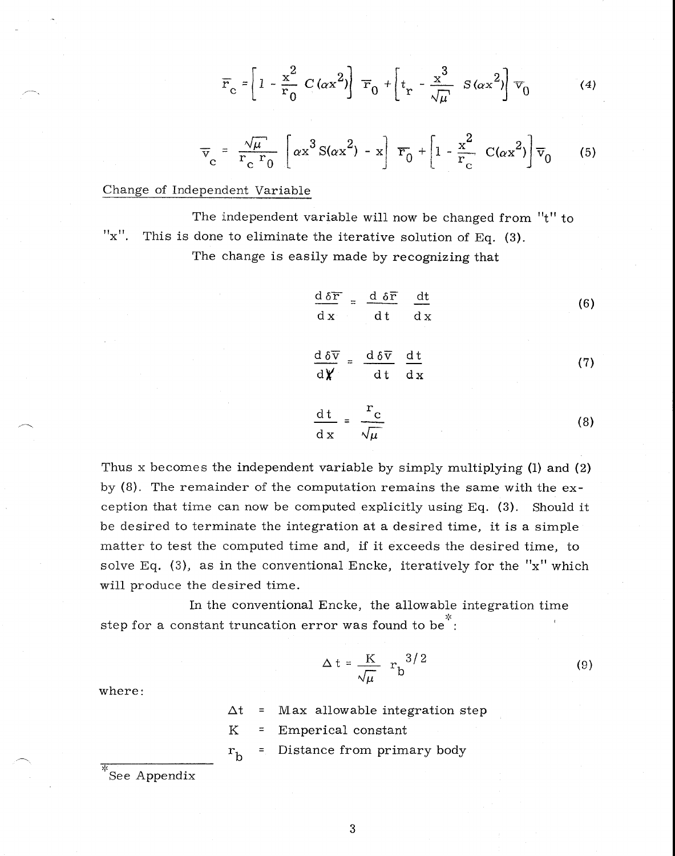$$
\overline{r}_{\rm c} = \left[1 - \frac{x^2}{r_0} C(\alpha x^2)\right] \overline{r}_0 + \left[t_{\rm r} - \frac{x^3}{\sqrt{\mu}} S(\alpha x^2)\right] \overline{v}_0 \tag{4}
$$

$$
\overline{v}_c = \frac{\sqrt{\mu}}{r_c} \left[ \alpha x^3 S(\alpha x^2) - x \right] \overline{r}_0 + \left[ 1 - \frac{x^2}{r_c} C(\alpha x^2) \right] \overline{v}_0 \qquad (5)
$$

## Change of Independent Variable

The independent variable will now be changed from "t" to " $x$ ". This is done to eliminate the iterative solution of Eq. (3). The change is easily made by recognizing that

$$
\frac{d \delta \overline{r}}{dx} = \frac{d \delta \overline{r}}{dt} \frac{dt}{dx}
$$
 (6)

$$
\frac{d \delta \overline{v}}{d \chi} = \frac{d \delta \overline{v}}{dt} \frac{dt}{dx}
$$
 (7)

$$
\frac{dt}{dx} = \frac{r_c}{\sqrt{\mu}}
$$
 (8)

Thus x becomes the independent variable by simply multiplying (1) and (2) by (8). The remainder of the computation remains the same with the exception that time can now be computed explicitly using Eq. (3). Should it be desired to terminate the integration at a desired time, it is a simple matter to test the computed time and, if it exceeds the desired time, to solve Eq. (3), as in the conventional Encke, iteratively for the " $x$ " which will produce the desired time.

In the conventional Encke, the allowable integration time step for a constant truncation error was found to be<sup>\*</sup>:

$$
\Delta t = \frac{K}{\sqrt{\mu}} r_b^{3/2}
$$
 (9)

where:

 $\Delta t$  = Max allowable integration step

K = Emperical constant

 $r<sub>h</sub>$ Distance from primary body

See Appendix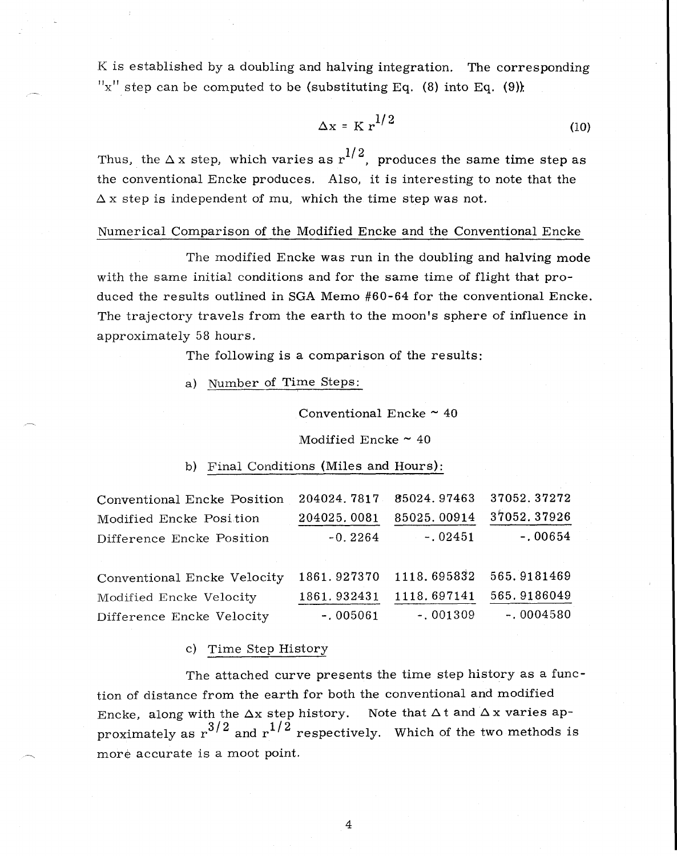K is established by a doubling and halving integration. The corresponding "x" step can be computed to be (substituting Eq.  $(8)$  into Eq.  $(9)$ ):

$$
\Delta x = K r^{1/2} \tag{10}
$$

Thus, the  $\Delta x$  step, which varies as  $r^{1/2}$ , produces the same time step as the conventional Encke produces. Also, it is interesting to note that the  $\Delta x$  step is independent of mu, which the time step was not.

#### Numerical Comparison of the Modified Encke and the Conventional Encke

The modified Encke was run in the doubling and halving mode with the same initial conditions and for the same time of flight that produced the results outlined in SGA Memo #60-64 for the conventional Encke. The trajectory travels from the earth to the moon's sphere of influence in approximately 58 hours.

The following is a comparison of the results:

a) Number of Time Steps:

Conventional Encke  $\sim$  40

Modified Encke  $\sim$  40

## b) Final Conditions (Miles and Hours):

| Conventional Encke Position | 204024.7817 85024.97463 |             | 37052.37272 |
|-----------------------------|-------------------------|-------------|-------------|
| Modified Encke Position     | 204025.0081             | 85025.00914 | 37052.37926 |
| Difference Encke Position   | $-0.2264$               | $-.02451$   | $-.00654$   |
|                             |                         |             |             |
| Conventional Encke Velocity | 1861.927370             | 1118.695832 | 565.9181469 |
| Modified Encke Velocity     | 1861.932431             | 1118.697141 | 565.9186049 |
| Difference Encke Velocity   | $-.005061$              | $-.001309$  | $-.0004580$ |

#### c) Time Step History

The attached curve presents the time step history as a function of distance from the earth for both the conventional and modified Encke, along with the  $\Delta x$  step history. Note that  $\Delta t$  and  $\Delta x$  varies approximately as  $r^{3/2}$  and  $r^{1/2}$  respectively. Which of the two methods is more accurate is a moot point.

 $\overline{4}$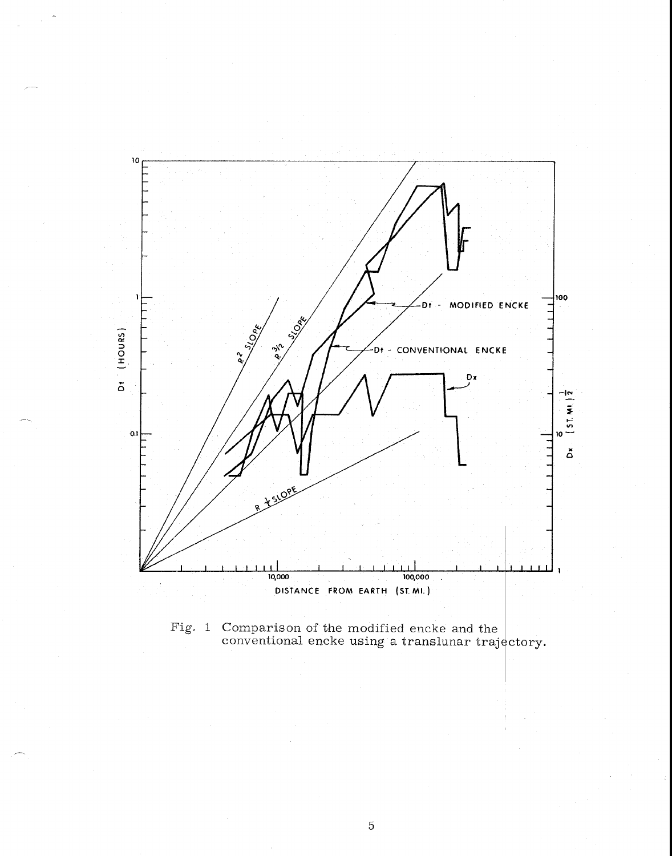

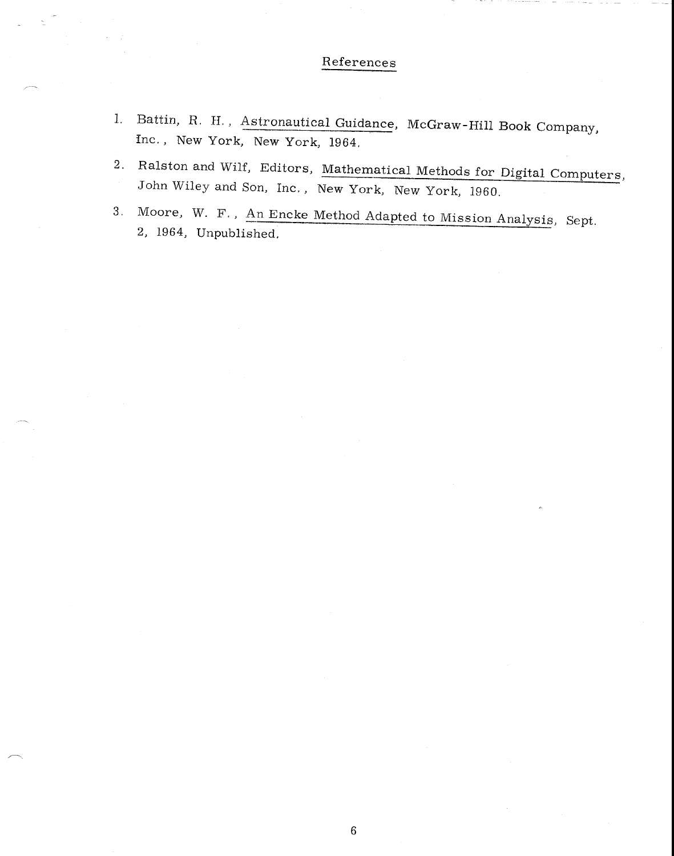# References

- 1, Battin, R. H. , Astronautical Guidance, McGraw-Hill Book Company, Inc. , New York, New York, 1964.
- 2. Ralston and Wilf, Editors, Mathematical Methods for Digital Computers, John Wiley and Son, Inc, , New York, New York, 1960.
- 3, Moore, W. F. , An Encke Method Adapted to Mission Analysis, Sept. 2, 1964, Unpublished.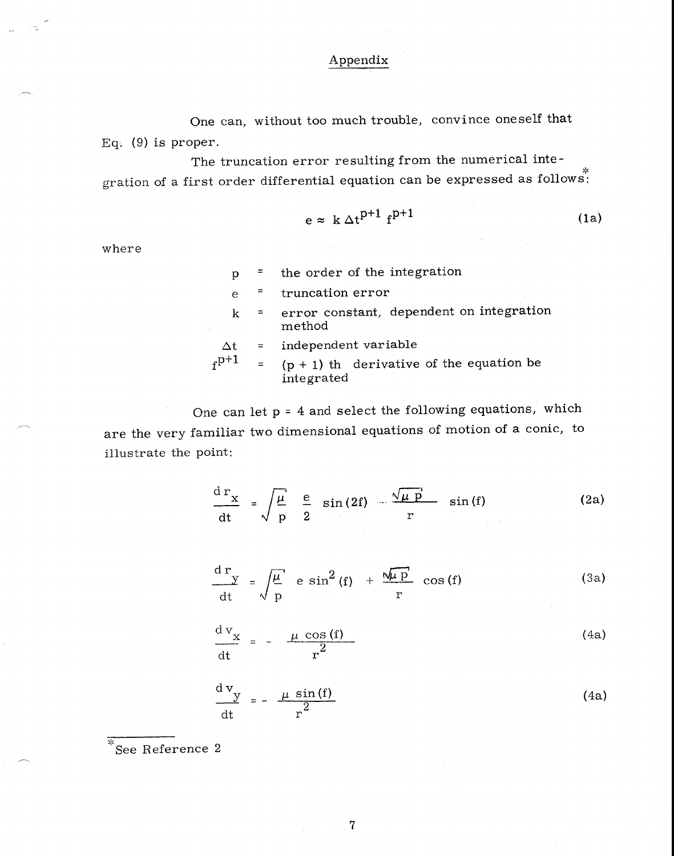# Appendix

One can, without too much trouble, convince oneself that Eq. (9) is proper.

The truncation error resulting from the numerical integration of a first order differential equation can be expressed as follows:

$$
e \approx k \Delta t^{p+1} f^{p+1}
$$
 (1a)

where

|  |  |  |  |  | the order of the integration |
|--|--|--|--|--|------------------------------|
|--|--|--|--|--|------------------------------|

truncation error  $\mathbf{e}$  $\equiv$ 

error constant, dependent on integration  $\bf k$  $\equiv$ method

 $\Delta t$  = independent variable<br>  $f^{p+1}$  = (p + 1) th derivative  $(p + 1)$  th derivative of the equation be integrated

One can let  $p = 4$  and select the following equations, which are the very familiar two dimensional equations of motion of a conic, to illustrate the point:

$$
\frac{d\mathbf{r}_x}{dt} = \sqrt{\frac{\mu}{p}} \frac{e}{2} \sin(2f) - \frac{\sqrt{\mu p}}{r} \sin(f) \qquad (2a)
$$

$$
\frac{d r}{dt} = \sqrt{\frac{\mu}{p}} e \sin^2(f) + \frac{\sqrt{\mu p}}{r} \cos(f)
$$
 (3a)

$$
\frac{d v_x}{dt} = - \frac{\mu \cos(f)}{r^2}
$$
 (4a)

$$
\frac{d v_y}{dt} = -\frac{\mu \sin(f)}{r^2}
$$
 (4a)

 $*\overline{\ }$ See Reference 2